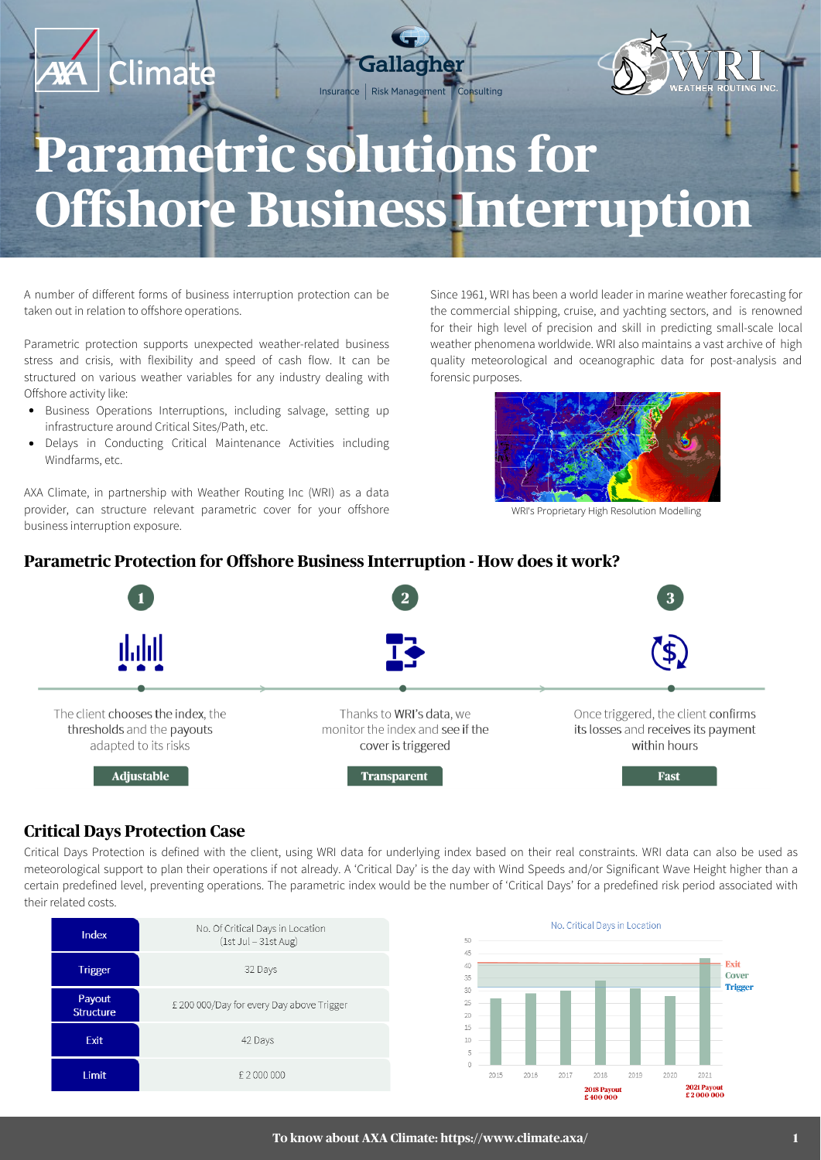

A number of different forms of business interruption protection can be taken out in relation to offshore operations.

Parametric protection supports unexpected weather-related business stress and crisis, with flexibility and speed of cash flow. It can be structured on various weather variables for any industry dealing with Offshore activity like:

- Business Operations Interruptions, including salvage, setting up infrastructure around Critical Sites/Path, etc.
- Delays in Conducting Critical Maintenance Activities including Windfarms, etc.

AXA Climate, in partnership with Weather Routing Inc (WRI) as a data provider, can structure relevant parametric cover for your offshore business interruption exposure.

Since 1961, WRI has been a world leader in marine weather forecasting for the commercial shipping, cruise, and yachting sectors, and is renowned for their high level of precision and skill in predicting small-scale local weather phenomena worldwide. WRI also maintains a vast archive of high quality meteorological and oceanographic data for post-analysis and forensic purposes.



WRI's Proprietary High Resolution Modelling

#### **Parametric Protection for Offshore Business Interruption - How does it work?**



### **Critical Days Protection Case**

Critical Days Protection is defined with the client, using WRI data for underlying index based on their real constraints. WRI data can also be used as meteorological support to plan their operations if not already. A 'Critical Day' is the day with Wind Speeds and/or Significant Wave Height higher than a certain predefined level, preventing operations. The parametric index would be the number of 'Critical Days' for a predefined risk period associated with their related costs.